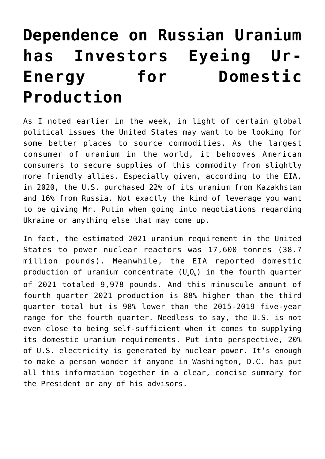## **[Dependence on Russian Uranium](https://investorintel.com/markets/uranium-energy/uranium-energy-intel/dependence-on-russian-uranium-has-investors-eyeing-ur-energy-for-domestic-production/) [has Investors Eyeing Ur-](https://investorintel.com/markets/uranium-energy/uranium-energy-intel/dependence-on-russian-uranium-has-investors-eyeing-ur-energy-for-domestic-production/)[Energy for Domestic](https://investorintel.com/markets/uranium-energy/uranium-energy-intel/dependence-on-russian-uranium-has-investors-eyeing-ur-energy-for-domestic-production/) [Production](https://investorintel.com/markets/uranium-energy/uranium-energy-intel/dependence-on-russian-uranium-has-investors-eyeing-ur-energy-for-domestic-production/)**

As I noted [earlier in the week,](https://investorintel.com/markets/uranium-energy/uranium-energy-intel/until-we-have-fusion-there-is-fission-3-0-for-new-uranium-supply-opportunities/) in light of certain global political issues the United States may want to be looking for some better places to source commodities. As the largest consumer of uranium in the world, it behooves American consumers to secure supplies of this commodity from slightly more friendly allies. Especially given, [according to the EIA,](https://www.eia.gov/energyexplained/nuclear/where-our-uranium-comes-from.php) in 2020, the U.S. purchased 22% of its uranium from Kazakhstan and 16% from Russia. Not exactly the kind of leverage you want to be giving Mr. Putin when going into negotiations regarding Ukraine or anything else that may come up.

In fact, the estimated 2021 uranium requirement in the United States to [power nuclear reactors was 17,600 tonnes](https://world-nuclear.org/information-library/facts-and-figures/world-nuclear-power-reactors-and-uranium-requireme.aspx) (38.7 million pounds). Meanwhile, the EIA reported domestic production of uranium concentrate  $(U_3O_8)$  in the fourth quarter of 2021 [totaled 9,978 pounds.](https://www.eia.gov/uranium/production/quarterly/) And this minuscule amount of fourth quarter 2021 production is 88% higher than the third quarter total but is 98% lower than the 2015-2019 five-year range for the fourth quarter. Needless to say, the U.S. is not even close to being self-sufficient when it comes to supplying its domestic uranium requirements. Put into perspective, [20%](https://www.eia.gov/tools/faqs/faq.php?id=427&t=3) [of U.S. electricity is generated by nuclear power.](https://www.eia.gov/tools/faqs/faq.php?id=427&t=3) It's enough to make a person wonder if anyone in Washington, D.C. has put all this information together in a clear, concise summary for the President or any of his advisors.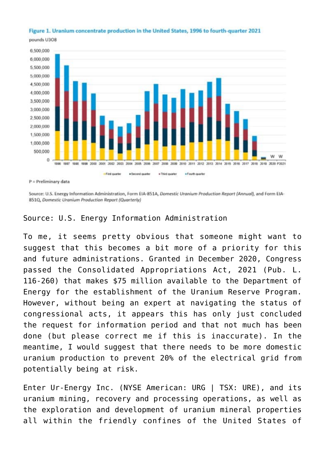## Figure 1. Uranium concentrate production in the United States, 1996 to fourth-quarter 2021

pounds U308



Source: U.S. Energy Information Administration, Form EIA-851A, Domestic Uranium Production Report (Annual), and Form EIA-851Q, Domestic Uranium Production Report (Quarterly)

## Source: [U.S. Energy Information Administration](https://www.eia.gov/uranium/production/quarterly/)

To me, it seems pretty obvious that someone might want to suggest that this becomes a bit more of a priority for this and future administrations. Granted in December 2020, Congress passed the Consolidated Appropriations Act, 2021 ([Pub. L.](https://www.govinfo.gov/link/plaw/116/public/260?link-type=html) [116-260\)](https://www.govinfo.gov/link/plaw/116/public/260?link-type=html) that makes \$75 million available to the Department of Energy for the establishment of the Uranium Reserve Program. However, without being an expert at navigating the status of congressional acts, it appears this has only just concluded the request for information period and that not much has been done (but please correct me if this is inaccurate). In the meantime, I would suggest that there needs to be more domestic uranium production to prevent 20% of the electrical grid from potentially being at risk.

Enter [Ur-Energy Inc.](https://www.ur-energy.com/) (NYSE American: URG | TSX: URE), and its uranium mining, recovery and processing operations, as well as the exploration and development of uranium mineral properties all within the friendly confines of the United States of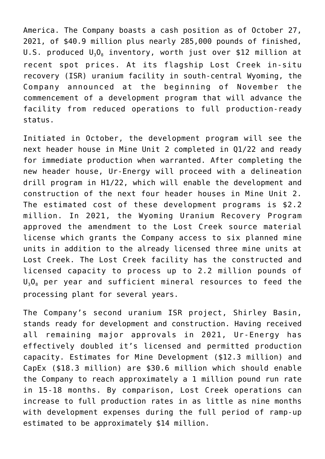America. The Company boasts a cash position as of October 27, 2021, of \$40.9 million plus nearly 285,000 pounds of finished, U.S. produced  $U_3O_8$  inventory, worth just over \$12 million at recent spot prices. At its flagship Lost Creek in-situ recovery (ISR) uranium facility in south-central Wyoming, the Company announced at the beginning of November the [commencement of a development program](https://investorintel.com/markets/uranium-energy/uranium-energy-news/ur-energy-releases-2021-q3-results-and-announces-lost-creek-development-program-to-advance-readiness-to-ramp-up/) that will advance the facility from reduced operations to full production-ready status.

Initiated in October, the development program will see the next header house in Mine Unit 2 completed in Q1/22 and ready for immediate production when warranted. After completing the new header house, Ur-Energy will proceed with a delineation drill program in H1/22, which will enable the development and construction of the next four header houses in Mine Unit 2. The estimated cost of these development programs is \$2.2 million. In 2021, the Wyoming Uranium Recovery Program approved the amendment to the Lost Creek source material license which grants the Company access to six planned mine units in addition to the already licensed three mine units at Lost Creek. The Lost Creek facility has the constructed and licensed capacity to process up to 2.2 million pounds of  $U_3O_8$  per year and sufficient mineral resources to feed the processing plant for several years.

The Company's second uranium ISR project, Shirley Basin, stands ready for development and construction. Having received all remaining major approvals in 2021, Ur-Energy has effectively doubled it's licensed and permitted production capacity. Estimates for Mine Development (\$12.3 million) and CapEx (\$18.3 million) are \$30.6 million which should enable the Company to reach approximately a 1 million pound run rate in 15-18 months. By comparison, Lost Creek operations can increase to full production rates in as little as nine months with development expenses during the full period of ramp-up estimated to be approximately \$14 million.